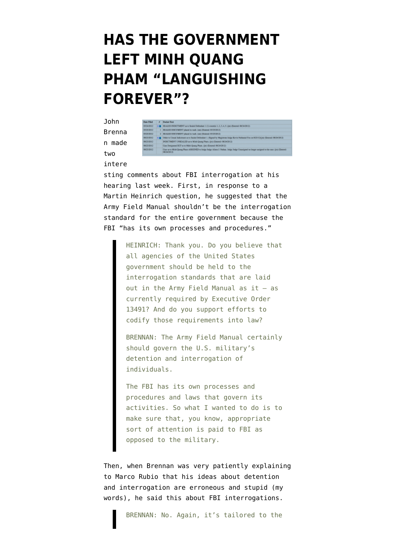## **[HAS THE GOVERNMENT](https://www.emptywheel.net/2013/02/13/has-the-government-left-minh-quang-pham-languishing-forever/) [LEFT MINH QUANG](https://www.emptywheel.net/2013/02/13/has-the-government-left-minh-quang-pham-languishing-forever/) [PHAM "LANGUISHING](https://www.emptywheel.net/2013/02/13/has-the-government-left-minh-quang-pham-languishing-forever/) [FOREVER"?](https://www.emptywheel.net/2013/02/13/has-the-government-left-minh-quang-pham-languishing-forever/)**

John Brenna n made two



## intere

sting comments about FBI interrogation [at his](https://www.aclu.org/files/assets/letter_re_brennan_hearing.pdf) [hearing](https://www.aclu.org/files/assets/letter_re_brennan_hearing.pdf) last week. First, in response to a Martin Heinrich question, he suggested that the Army Field Manual shouldn't be the interrogation standard for the entire government because the FBI "has its own processes and procedures."

> HEINRICH: Thank you. Do you believe that all agencies of the United States government should be held to the interrogation standards that are laid out in the Army Field Manual as it — as currently required by Executive Order 13491? And do you support efforts to codify those requirements into law?

> BRENNAN: The Army Field Manual certainly should govern the U.S. military's detention and interrogation of individuals.

> The FBI has its own processes and procedures and laws that govern its activities. So what I wanted to do is to make sure that, you know, appropriate sort of attention is paid to FBI as opposed to the military.

Then, when Brennan was very patiently explaining to Marco Rubio that his ideas about detention and interrogation are erroneous and stupid (my words), he said this about FBI interrogations.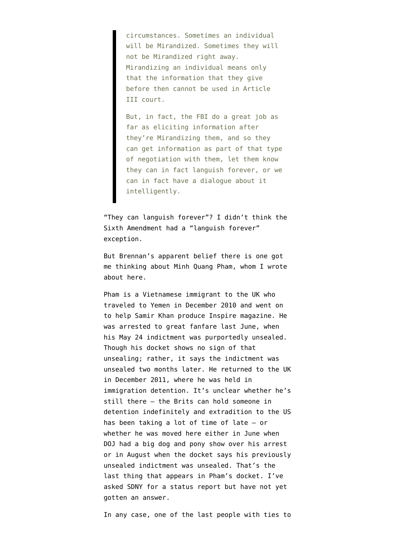circumstances. Sometimes an individual will be Mirandized. Sometimes they will not be Mirandized right away. Mirandizing an individual means only that the information that they give before then cannot be used in Article III court.

But, in fact, the FBI do a great job as far as eliciting information after they're Mirandizing them, and so they can get information as part of that type of negotiation with them, let them know they can in fact languish forever, or we can in fact have a dialogue about it intelligently.

"They can languish forever"? I didn't think the Sixth Amendment had a "languish forever" exception.

But Brennan's apparent belief there is one got me thinking about Minh Quang Pham, whom I wrote about [here.](http://www.emptywheel.net/2012/07/02/some-data-points-on-minh-qhang-pham-aqaps-graphic-artist-of-mass-destruction/)

Pham is a Vietnamese immigrant to the UK who traveled to Yemen in December 2010 and went on to help Samir Khan produce Inspire magazine. He was [arrested to great fanfare](http://www.fbi.gov/newyork/press-releases/2012/alleged-associate-of-al-qaeda-in-the-arabian-peninsula-charged-in-new-york-with-providing-material-support-and-receiving-military-training-in-yemen) last June, when his [May 24 indictment](http://www.emptywheel.net/wp-content/uploads/2013/02/gov.uscourts.nysd_.397017.3.0.pdf) was purportedly unsealed. Though his docket shows no sign of that unsealing; rather, it says the indictment was unsealed two months later. He returned to the UK in December 2011, where he was held in immigration detention. It's unclear whether he's still there — the Brits [can hold someone in](http://www.guardian.co.uk/commentisfree/2012/dec/18/britain-detaining-immigrants-indefinitely) [detention indefinitely](http://www.guardian.co.uk/commentisfree/2012/dec/18/britain-detaining-immigrants-indefinitely) and extradition to the US has been taking a lot of time of late — or whether he was moved here either in June when DOJ [had a big dog and pony show over his arrest](http://www.fbi.gov/newyork/press-releases/2012/alleged-associate-of-al-qaeda-in-the-arabian-peninsula-charged-in-new-york-with-providing-material-support-and-receiving-military-training-in-yemen) or in August when the docket says [his previously](http://www.emptywheel.net/wp-content/uploads/2013/02/gov.uscourts.nysd_.397017.4.0.pdf) [unsealed indictment was unsealed.](http://www.emptywheel.net/wp-content/uploads/2013/02/gov.uscourts.nysd_.397017.4.0.pdf) That's the last thing that appears in Pham's docket. I've asked SDNY for a status report but have not yet gotten an answer.

In any case, one of the last people with ties to